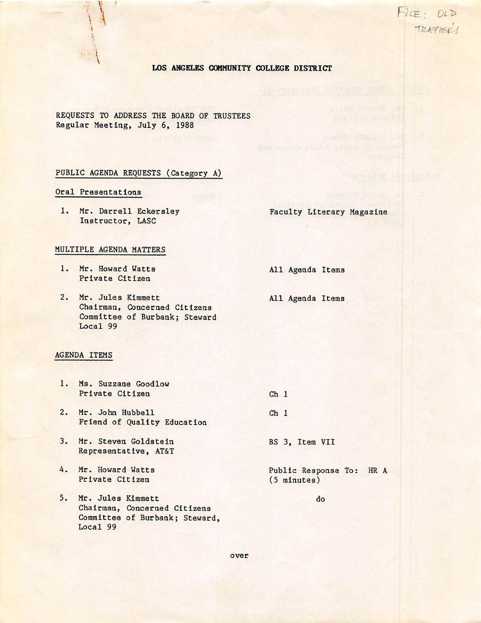$F$   $E : O D$ 

#### LOS ANGELES COMMUNITY COLLEGE DISTRICT

REQUESTS TO ADDRESS THE BOARD OF TRUSTEES Regular Meeting, July 6, 1988

#### PUBLIC AGENDA REQUESTS (Category A)

## Oral Presentations

I  $\mathbf{I}$ 

1. Mr. Darrell Eckersley Faculty Literary Magazine Instructor, LASC

#### MULTIPLE AGENDA MATTERS

1. Mr. Howard Watts All Agenda Items Private Citizen

2. Mr. Jules Kimmett All Agenda Items Chairman, Concerned Citizens Committee of Burbank; Steward  $Local<sub>99</sub>$ 

#### AGENDA ITEMS

- 1. Ms. Suzzane Goodlow Private Citizen  $Ch<sub>1</sub>$  $Ch<sub>1</sub>$
- 2. Mr. John Hubbell Friend of Quality Education
- 3. Mr. Steven Goldstein Representative, AT&T
- 4. Mr. Howard Watts Private Citizen
- 5. Mr. Jules Kimmett Chairman, Concerned Citizens Committee of Burbank; Steward,  $Local<sub>99</sub>$

BS 3, Item VII

Public Response To: HR A  $(5$  minutes)

do